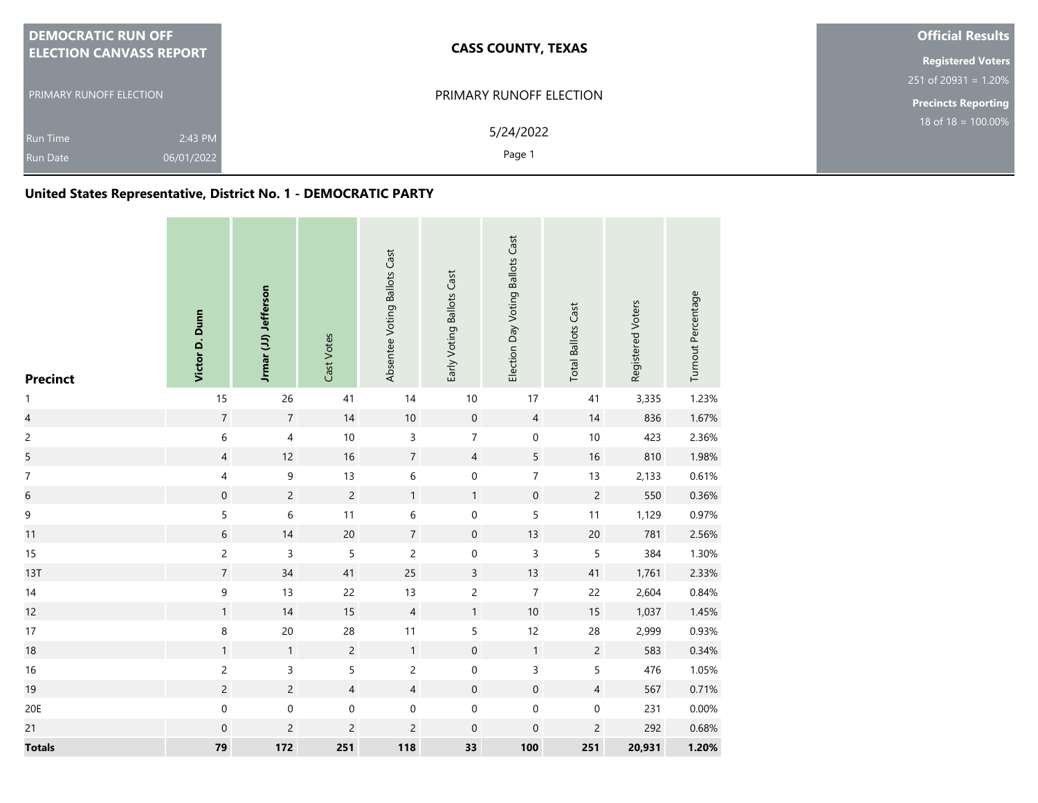|                                | <b>DEMOCRATIC RUN OFF</b>      | <b>CASS COUNTY, TEXAS</b>      | <b>Official Results</b>    |
|--------------------------------|--------------------------------|--------------------------------|----------------------------|
|                                | <b>ELECTION CANVASS REPORT</b> |                                | <b>Registered Voters</b>   |
| <b>PRIMARY RUNOFF ELECTION</b> |                                |                                | $251$ of 20931 = 1.20%     |
|                                |                                | <b>PRIMARY RUNOFF ELECTION</b> | <b>Precincts Reporting</b> |
|                                | 2:43 PM<br><b>Run Time</b>     | 5/24/2022                      | $18$ of 18 = 100.00%       |
|                                | 06/01/2022<br><b>Run Date</b>  | Page 1                         |                            |

# **United States Representative, District No. 1 - DEMOCRATIC PARTY**

| <b>Precinct</b>          | Victor D. Dunn   | Jrmar (JJ) Jefferson    | Cast Votes     | Absentee Voting Ballots Cast | Early Voting Ballots Cast | Election Day Voting Ballots Cast | <b>Total Ballots Cast</b> | Registered Voters | Turnout Percentage |
|--------------------------|------------------|-------------------------|----------------|------------------------------|---------------------------|----------------------------------|---------------------------|-------------------|--------------------|
| $\mathbf{1}$             | 15               | 26                      | $41\,$         | 14                           | $10$                      | 17                               | 41                        | 3,335             | 1.23%              |
| $\overline{\mathcal{L}}$ | $\boldsymbol{7}$ | $\sqrt{7}$              | $14$           | $10\,$                       | $\mathbf 0$               | $\overline{4}$                   | 14                        | 836               | 1.67%              |
| $\mathsf{2}\,$           | $\,$ 6 $\,$      | $\overline{\mathbf{4}}$ | $10$           | $\mathsf{3}$                 | $\overline{7}$            | $\mathbf 0$                      | 10                        | 423               | 2.36%              |
| 5                        | $\overline{4}$   | $12$                    | $16$           | $\sqrt{7}$                   | $\overline{4}$            | $\overline{5}$                   | 16                        | 810               | 1.98%              |
| $\boldsymbol{7}$         | 4                | 9                       | $13$           | $\,$ 6 $\,$                  | $\mathbf 0$               | $\overline{7}$                   | 13                        | 2,133             | 0.61%              |
| $\,$ 6 $\,$              | $\mathbf 0$      | $\mathsf{2}\,$          | $\overline{c}$ | $\mathbf{1}$                 | $\mathbf{1}$              | $\mathbf 0$                      | $\overline{c}$            | 550               | 0.36%              |
| $\mathsf 9$              | 5                | $\,$ 6 $\,$             | 11             | $\,$ 6 $\,$                  | $\boldsymbol{0}$          | $\sqrt{5}$                       | 11                        | 1,129             | 0.97%              |
| 11                       | 6                | $14$                    | $20\,$         | $\overline{7}$               | $\mathsf{O}\xspace$       | 13                               | 20                        | 781               | 2.56%              |
| 15                       | $\overline{c}$   | 3                       | 5              | $\overline{c}$               | $\mathbf 0$               | $\mathsf 3$                      | 5                         | 384               | 1.30%              |
| 13T                      | $\boldsymbol{7}$ | $34$                    | 41             | 25                           | $\mathsf{3}$              | 13                               | $41\,$                    | 1,761             | 2.33%              |
| 14                       | 9                | 13                      | 22             | 13                           | $\overline{c}$            | $\boldsymbol{7}$                 | 22                        | 2,604             | 0.84%              |
| 12                       | $\mathbf{1}$     | 14                      | 15             | $\overline{4}$               | $\mathbf{1}$              | $10\,$                           | 15                        | 1,037             | 1.45%              |
| 17                       | 8                | $20\,$                  | 28             | 11                           | 5                         | 12                               | 28                        | 2,999             | 0.93%              |
| 18                       | $\mathbf{1}$     | $\mathbf{1}$            | $\overline{c}$ | $\mathbf{1}$                 | $\mathbf 0$               | $\mathbf{1}$                     | $\overline{c}$            | 583               | 0.34%              |
| $16\,$                   | $\overline{c}$   | 3                       | 5              | $\overline{c}$               | $\mathsf{O}\xspace$       | 3                                | 5                         | 476               | 1.05%              |
| 19                       | $\overline{c}$   | $\sqrt{2}$              | $\overline{4}$ | $\overline{4}$               | $\boldsymbol{0}$          | $\mathbf 0$                      | $\overline{4}$            | 567               | 0.71%              |
| 20E                      | $\mathbf 0$      | $\mathsf{O}\xspace$     | $\pmb{0}$      | $\pmb{0}$                    | $\mathbf 0$               | $\mathbf 0$                      | $\boldsymbol{0}$          | 231               | 0.00%              |
| 21                       | $\mathbf 0$      | $\overline{c}$          | $\overline{c}$ | $\overline{c}$               | $\mathbf 0$               | $\mathbf 0$                      | $\mathsf{2}\,$            | 292               | 0.68%              |
| <b>Totals</b>            | 79               | 172                     | 251            | 118                          | 33                        | 100                              | 251                       | 20,931            | 1.20%              |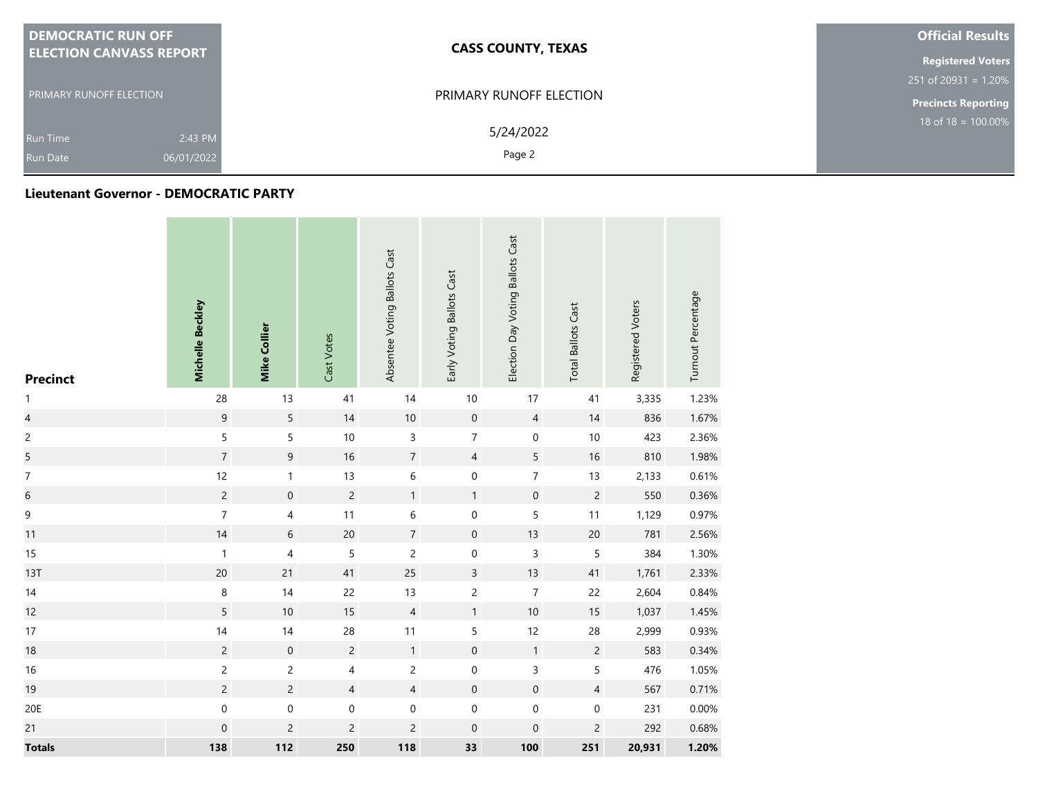| <b>DEMOCRATIC RUN OFF</b>      | <b>CASS COUNTY, TEXAS</b> | <b>Official Results</b>    |  |  |  |
|--------------------------------|---------------------------|----------------------------|--|--|--|
| <b>ELECTION CANVASS REPORT</b> |                           |                            |  |  |  |
|                                |                           | $251$ of 20931 = 1.20%     |  |  |  |
| <b>PRIMARY RUNOFF ELECTION</b> | PRIMARY RUNOFF ELECTION   | <b>Precincts Reporting</b> |  |  |  |
| 2:43 PM<br><b>Run Time</b>     | 5/24/2022                 | 18 of $18 = 100.00\%$      |  |  |  |
| 06/01/2022<br><b>Run Date</b>  | Page 2                    |                            |  |  |  |

#### **Lieutenant Governor - DEMOCRATIC PARTY**

| <b>Precinct</b>          | Michelle Beckley | <b>Mike Collier</b>      | Cast Votes     | Absentee Voting Ballots Cast | Early Voting Ballots Cast | Election Day Voting Ballots Cast | <b>Total Ballots Cast</b> | Registered Voters | Turnout Percentage |
|--------------------------|------------------|--------------------------|----------------|------------------------------|---------------------------|----------------------------------|---------------------------|-------------------|--------------------|
| $\mathbf{1}$             | 28               | $13$                     | 41             | 14                           | $10$                      | $17$                             | 41                        | 3,335             | 1.23%              |
| $\overline{\mathcal{L}}$ | $\mathsf 9$      | $\mathsf S$              | 14             | $10\,$                       | $\mathbf 0$               | $\overline{4}$                   | 14                        | 836               | 1.67%              |
| $\overline{c}$           | $\sf 5$          | $\sf 5$                  | $10\,$         | 3                            | $\overline{7}$            | $\pmb{0}$                        | $10\,$                    | 423               | 2.36%              |
| 5                        | $\overline{7}$   | $\mathsf 9$              | 16             | $\sqrt{7}$                   | $\overline{4}$            | $\sqrt{5}$                       | $16\,$                    | 810               | 1.98%              |
| $\boldsymbol{7}$         | 12               | $\mathbf{1}$             | 13             | $\,$ 6 $\,$                  | 0                         | $\boldsymbol{7}$                 | 13                        | 2,133             | 0.61%              |
| $\overline{6}$           | $\overline{c}$   | $\mathbf 0$              | $\overline{c}$ | $\mathbf{1}$                 | $\mathbf{1}$              | $\mathbf 0$                      | $\overline{c}$            | 550               | 0.36%              |
| 9                        | $\overline{7}$   | $\overline{\mathcal{A}}$ | $11$           | $\,$ 6 $\,$                  | $\pmb{0}$                 | $\mathsf S$                      | 11                        | 1,129             | 0.97%              |
| 11                       | 14               | $\,$ 6 $\,$              | $20\,$         | $\sqrt{ }$                   | $\pmb{0}$                 | $13$                             | $20\,$                    | 781               | 2.56%              |
| 15                       | $\mathbf{1}$     | $\overline{\mathcal{A}}$ | 5              | $\overline{c}$               | $\pmb{0}$                 | $\mathsf 3$                      | 5                         | 384               | 1.30%              |
| 13T                      | 20               | 21                       | 41             | 25                           | $\mathsf{3}$              | 13                               | 41                        | 1,761             | 2.33%              |
| $14$                     | $\,8\,$          | 14                       | 22             | 13                           | $\overline{c}$            | $\overline{7}$                   | 22                        | 2,604             | 0.84%              |
| 12                       | 5                | $10$                     | 15             | $\sqrt{4}$                   | $\mathbf{1}$              | $10\,$                           | 15                        | 1,037             | 1.45%              |
| 17                       | $14$             | $14$                     | 28             | 11                           | 5                         | 12                               | 28                        | 2,999             | 0.93%              |
| $18\,$                   | $\sqrt{2}$       | $\,0\,$                  | $\overline{c}$ | $\mathbf{1}$                 | $\boldsymbol{0}$          | $\mathbf{1}$                     | $\overline{c}$            | 583               | 0.34%              |
| 16                       | $\overline{c}$   | $\overline{c}$           | 4              | $\overline{c}$               | $\pmb{0}$                 | $\mathsf 3$                      | 5                         | 476               | 1.05%              |
| 19                       | $\overline{c}$   | $\overline{c}$           | $\overline{4}$ | $\overline{4}$               | $\boldsymbol{0}$          | $\mathbf 0$                      | $\overline{4}$            | 567               | 0.71%              |
| 20E                      | $\mathbf 0$      | $\pmb{0}$                | $\mathbf 0$    | $\mathbf 0$                  | $\pmb{0}$                 | $\mathbf 0$                      | $\pmb{0}$                 | 231               | 0.00%              |
| 21                       | $\mathbf 0$      | $\overline{c}$           | $\overline{c}$ | $\overline{c}$               | $\mathbf 0$               | $\mathbf 0$                      | $\overline{c}$            | 292               | 0.68%              |
| <b>Totals</b>            | 138              | 112                      | 250            | 118                          | 33                        | 100                              | 251                       | 20,931            | 1.20%              |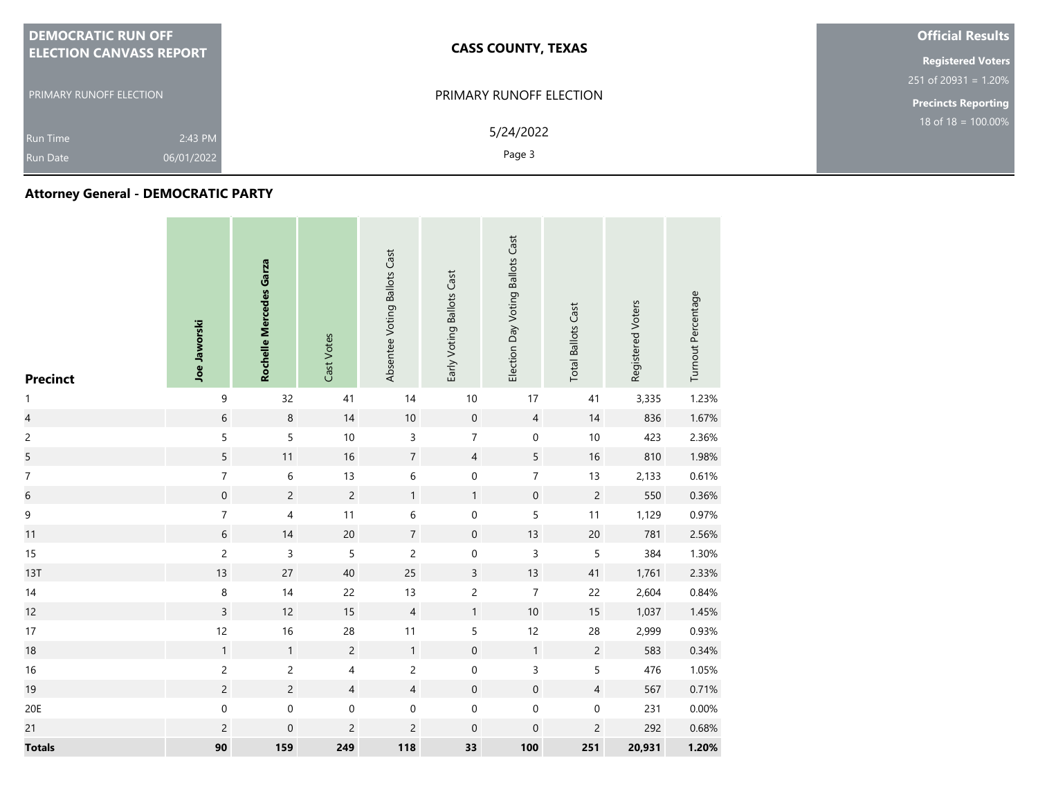| <b>DEMOCRATIC RUN OFF</b>                                   | <b>CASS COUNTY, TEXAS</b> | <b>Official Results</b>    |
|-------------------------------------------------------------|---------------------------|----------------------------|
| <b>ELECTION CANVASS REPORT</b>                              |                           | <b>Registered Voters</b>   |
|                                                             |                           | $251$ of 20931 = 1.20%     |
| <b>PRIMARY RUNOFF ELECTION</b>                              | PRIMARY RUNOFF ELECTION   | <b>Precincts Reporting</b> |
| 2:43 PM<br><b>Run Time</b><br>06/01/2022<br><b>Run Date</b> | 5/24/2022<br>Page 3       | 18 of $18 = 100.00\%$      |

## **Attorney General - DEMOCRATIC PARTY**

| <b>Precinct</b>          | Joe Jaworski     | Rochelle Mercedes Garza | Cast Votes              | Absentee Voting Ballots Cast | Early Voting Ballots Cast | Election Day Voting Ballots Cast | <b>Total Ballots Cast</b> | Registered Voters | Turnout Percentage |
|--------------------------|------------------|-------------------------|-------------------------|------------------------------|---------------------------|----------------------------------|---------------------------|-------------------|--------------------|
| $\mathbf{1}$             | 9                | 32                      | 41                      | 14                           | 10                        | 17                               | 41                        | 3,335             | 1.23%              |
| $\overline{\mathcal{L}}$ | $\sqrt{6}$       | $\,8\,$                 | 14                      | $10\,$                       | $\boldsymbol{0}$          | $\overline{4}$                   | $14$                      | 836               | 1.67%              |
| $\overline{c}$           | 5                | $\sqrt{5}$              | $10$                    | $\mathsf{3}$                 | $\overline{7}$            | $\boldsymbol{0}$                 | 10                        | 423               | 2.36%              |
| 5                        | $\overline{5}$   | 11                      | $16\,$                  | $\sqrt{7}$                   | $\overline{4}$            | $\sqrt{5}$                       | $16\,$                    | 810               | 1.98%              |
| $\overline{7}$           | $\boldsymbol{7}$ | $\,$ 6 $\,$             | 13                      | $\,$ 6 $\,$                  | $\mathsf{O}\xspace$       | $\boldsymbol{7}$                 | 13                        | 2,133             | 0.61%              |
| $\boldsymbol{6}$         | $\mathbf 0$      | $\sqrt{2}$              | $\overline{c}$          | $\mathbf{1}$                 | $\mathbf{1}$              | $\mathbf 0$                      | $\overline{c}$            | 550               | 0.36%              |
| 9                        | $\boldsymbol{7}$ | $\overline{\mathbf{4}}$ | $11$                    | $\,$ 6 $\,$                  | $\boldsymbol{0}$          | $\mathsf S$                      | $11$                      | 1,129             | 0.97%              |
| 11                       | $\,$ 6 $\,$      | $14$                    | $20\,$                  | $\sqrt{7}$                   | $\mathbf 0$               | 13                               | $20\,$                    | 781               | 2.56%              |
| 15                       | $\overline{c}$   | $\mathsf 3$             | 5                       | $\overline{c}$               | $\pmb{0}$                 | $\mathsf 3$                      | 5                         | 384               | 1.30%              |
| 13T                      | 13               | 27                      | $40\,$                  | 25                           | $\overline{3}$            | 13                               | 41                        | 1,761             | 2.33%              |
| $14$                     | $\, 8$           | $14$                    | 22                      | 13                           | $\overline{c}$            | $\overline{7}$                   | 22                        | 2,604             | 0.84%              |
| 12                       | $\overline{3}$   | 12                      | $15\,$                  | $\sqrt{4}$                   | $\mathbf{1}$              | $10\,$                           | $15\,$                    | 1,037             | 1.45%              |
| 17                       | 12               | 16                      | 28                      | 11                           | 5                         | 12                               | 28                        | 2,999             | 0.93%              |
| 18                       | $\mathbf{1}$     | $\mathbf{1}$            | $\overline{c}$          | $\mathbf{1}$                 | $\mathbf 0$               | $\mathbf{1}$                     | $\overline{c}$            | 583               | 0.34%              |
| $16\,$                   | $\overline{c}$   | $\overline{c}$          | $\overline{\mathbf{4}}$ | $\overline{c}$               | $\boldsymbol{0}$          | $\mathsf{3}$                     | 5                         | 476               | 1.05%              |
| 19                       | $\overline{c}$   | $\overline{c}$          | $\overline{4}$          | $\overline{4}$               | $\mathbf 0$               | $\mathbf 0$                      | $\overline{4}$            | 567               | 0.71%              |
| 20E                      | $\boldsymbol{0}$ | $\mathbf 0$             | $\pmb{0}$               | $\boldsymbol{0}$             | 0                         | $\boldsymbol{0}$                 | $\pmb{0}$                 | 231               | 0.00%              |
| 21                       | $\overline{c}$   | $\mathbf 0$             | $\overline{c}$          | $\overline{c}$               | $\mathbf 0$               | $\boldsymbol{0}$                 | $\overline{c}$            | 292               | 0.68%              |
| <b>Totals</b>            | 90               | 159                     | 249                     | 118                          | 33                        | 100                              | 251                       | 20,931            | 1.20%              |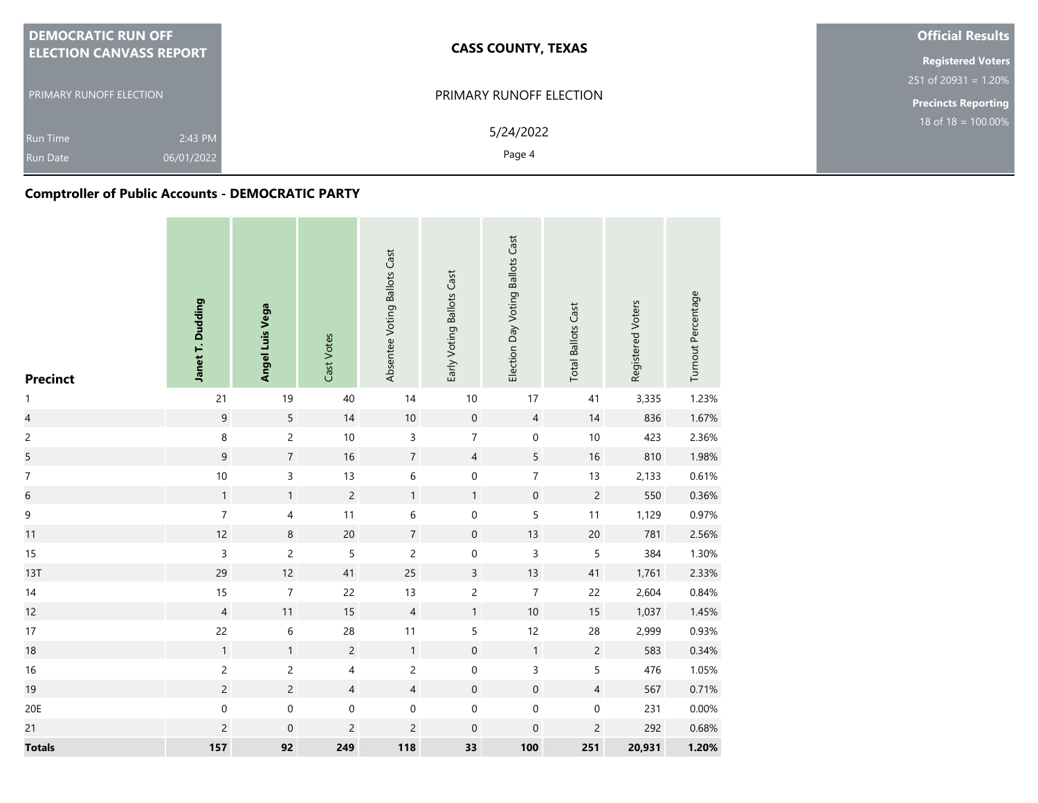| <b>DEMOCRATIC RUN OFF</b>      | <b>CASS COUNTY, TEXAS</b> |                                |
|--------------------------------|---------------------------|--------------------------------|
| <b>ELECTION CANVASS REPORT</b> |                           | <b>Registered Voters</b>       |
|                                |                           | $251$ of 20931 = 1.20%         |
| <b>PRIMARY RUNOFF ELECTION</b> | PRIMARY RUNOFF ELECTION   | <b>Precincts Reporting</b>     |
| 2:43 PM<br><b>Run Time</b>     | 5/24/2022                 | $18 \text{ of } 18 = 100.00\%$ |
| 06/01/2022<br><b>Run Date</b>  | Page 4                    |                                |

# **Comptroller of Public Accounts - DEMOCRATIC PARTY**

| <b>Precinct</b>          | Janet T. Dudding | Angel Luis Vega         | Cast Votes     | Absentee Voting Ballots Cast | Early Voting Ballots Cast | Election Day Voting Ballots Cast | <b>Total Ballots Cast</b> | Registered Voters | Turnout Percentage |
|--------------------------|------------------|-------------------------|----------------|------------------------------|---------------------------|----------------------------------|---------------------------|-------------------|--------------------|
| $\mathbf{1}$             | 21               | 19                      | $40\,$         | 14                           | $10$                      | 17                               | 41                        | 3,335             | 1.23%              |
| $\overline{\mathcal{L}}$ | $\overline{9}$   | $\sqrt{5}$              | 14             | $10\,$                       | $\mathbf 0$               | $\overline{4}$                   | 14                        | 836               | 1.67%              |
| $\overline{c}$           | 8                | $\overline{c}$          | 10             | $\mathsf{3}$                 | $\overline{7}$            | $\mathbf 0$                      | $10$                      | 423               | 2.36%              |
| 5                        | $\mathsf 9$      | $\boldsymbol{7}$        | 16             | $\boldsymbol{7}$             | $\overline{4}$            | $\sqrt{5}$                       | $16$                      | 810               | 1.98%              |
| $\overline{7}$           | $10$             | $\overline{3}$          | 13             | $\,$ 6 $\,$                  | $\mathbf 0$               | $\boldsymbol{7}$                 | 13                        | 2,133             | 0.61%              |
| 6                        | $\mathbf{1}$     | $\mathbf{1}$            | $\overline{c}$ | $\mathbf{1}$                 | $\mathbf{1}$              | $\mathsf{O}\xspace$              | $\overline{c}$            | 550               | 0.36%              |
| 9                        | $\boldsymbol{7}$ | $\overline{\mathbf{4}}$ | $11$           | $\,$ 6 $\,$                  | $\boldsymbol{0}$          | $\mathsf S$                      | 11                        | 1,129             | 0.97%              |
| 11                       | 12               | $\,8\,$                 | 20             | $\overline{7}$               | $\mathsf{O}\xspace$       | 13                               | $20\,$                    | 781               | 2.56%              |
| 15                       | $\mathsf 3$      | $\mathsf{2}\,$          | 5              | $\mathsf{2}\,$               | 0                         | 3                                | 5                         | 384               | 1.30%              |
| 13T                      | 29               | 12                      | 41             | 25                           | $\mathsf{3}$              | 13                               | 41                        | 1,761             | 2.33%              |
| 14                       | 15               | $\boldsymbol{7}$        | 22             | 13                           | $\overline{c}$            | $\boldsymbol{7}$                 | 22                        | 2,604             | 0.84%              |
| 12                       | $\overline{4}$   | 11                      | 15             | $\sqrt{4}$                   | 1                         | $10$                             | 15                        | 1,037             | 1.45%              |
| 17                       | 22               | $\,$ 6 $\,$             | 28             | 11                           | 5                         | 12                               | 28                        | 2,999             | 0.93%              |
| 18                       | $\mathbf{1}$     | $\mathbf{1}$            | $\overline{c}$ | $\mathbf{1}$                 | $\mathbf 0$               | $\mathbf{1}$                     | $\overline{c}$            | 583               | 0.34%              |
| $16$                     | $\overline{c}$   | $\overline{c}$          | 4              | $\overline{c}$               | $\mathbf 0$               | 3                                | 5                         | 476               | 1.05%              |
| 19                       | $\overline{c}$   | $\overline{c}$          | $\overline{4}$ | $\overline{4}$               | $\mathsf{O}\xspace$       | $\mathbf 0$                      | $\overline{4}$            | 567               | 0.71%              |
| 20E                      | $\boldsymbol{0}$ | $\mathbf 0$             | $\pmb{0}$      | $\boldsymbol{0}$             | $\boldsymbol{0}$          | $\boldsymbol{0}$                 | 0                         | 231               | 0.00%              |
| 21                       | $\overline{c}$   | $\mathbf 0$             | $\overline{c}$ | $\overline{c}$               | $\mathbf 0$               | $\mathbf 0$                      | $\overline{c}$            | 292               | 0.68%              |
| <b>Totals</b>            | 157              | 92                      | 249            | 118                          | 33                        | 100                              | 251                       | 20,931            | 1.20%              |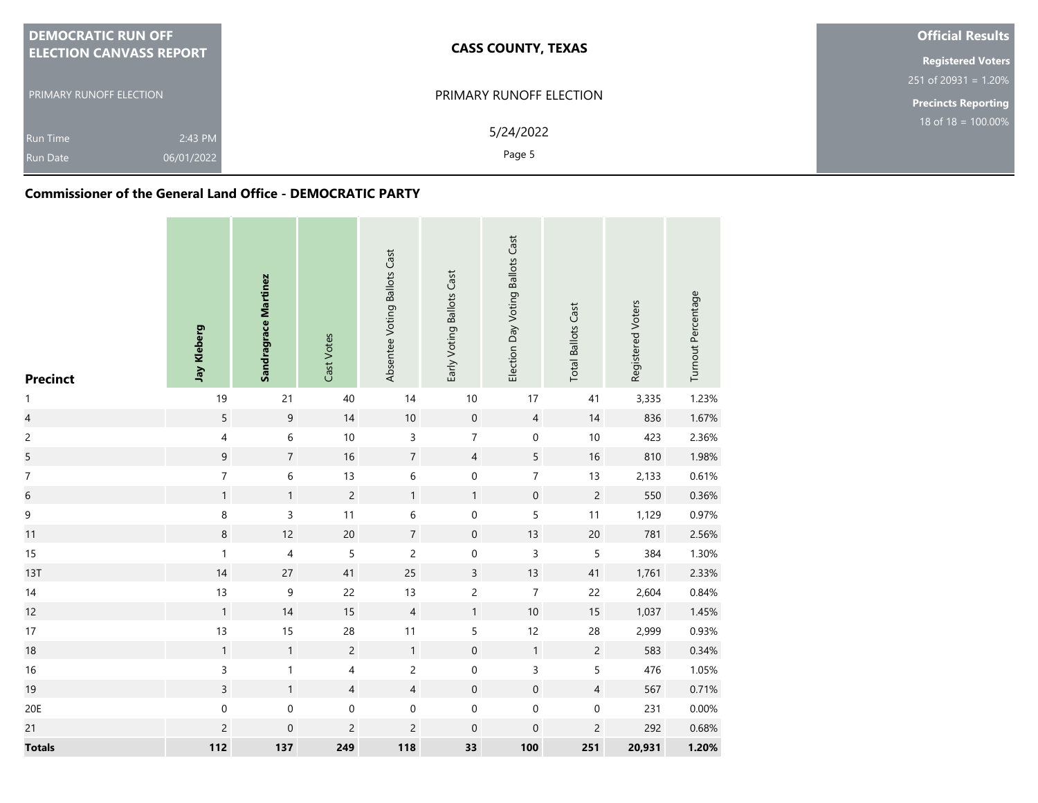| <b>DEMOCRATIC RUN OFF</b>      | <b>CASS COUNTY, TEXAS</b> | <b>Official Results</b>        |  |  |  |
|--------------------------------|---------------------------|--------------------------------|--|--|--|
| <b>ELECTION CANVASS REPORT</b> |                           |                                |  |  |  |
|                                |                           | $251$ of 20931 = 1.20%         |  |  |  |
| <b>PRIMARY RUNOFF ELECTION</b> | PRIMARY RUNOFF ELECTION   | <b>Precincts Reporting</b>     |  |  |  |
| 2:43 PM<br><b>Run Time</b>     | 5/24/2022                 | $18 \text{ of } 18 = 100.00\%$ |  |  |  |
| 06/01/2022<br><b>Run Date</b>  | Page 5                    |                                |  |  |  |

### **Commissioner of the General Land Office - DEMOCRATIC PARTY**

| <b>Precinct</b>         | Jay Kleberg      | Sandragrace Martinez | Cast Votes     | Absentee Voting Ballots Cast | Early Voting Ballots Cast | Election Day Voting Ballots Cast | <b>Total Ballots Cast</b> | Registered Voters | Turnout Percentage |
|-------------------------|------------------|----------------------|----------------|------------------------------|---------------------------|----------------------------------|---------------------------|-------------------|--------------------|
| $\mathbf{1}$            | 19               | 21                   | 40             | 14                           | $10$                      | $17\,$                           | 41                        | 3,335             | 1.23%              |
| $\overline{\mathbf{4}}$ | $\sqrt{5}$       | $\boldsymbol{9}$     | $14$           | $10\,$                       | $\mathbf 0$               | $\overline{4}$                   | 14                        | 836               | 1.67%              |
| $\mathsf{2}\,$          | 4                | $\sqrt{6}$           | $10$           | 3                            | $\overline{7}$            | $\mathbf 0$                      | $10\,$                    | 423               | 2.36%              |
| 5                       | $\mathsf 9$      | $\sqrt{7}$           | 16             | $\sqrt{7}$                   | $\overline{4}$            | 5                                | 16                        | 810               | 1.98%              |
| $\overline{7}$          | $\boldsymbol{7}$ | 6                    | 13             | $\,$ 6 $\,$                  | $\mathbf 0$               | $\overline{7}$                   | 13                        | 2,133             | 0.61%              |
| $\overline{6}$          | $\mathbf{1}$     | $\mathbf{1}$         | $\sqrt{2}$     | $\mathbf{1}$                 | $\mathbf{1}$              | $\mathbf 0$                      | $\sqrt{2}$                | 550               | 0.36%              |
| 9                       | $\,$ 8 $\,$      | $\mathsf 3$          | 11             | $\,$ 6 $\,$                  | $\mathsf{O}\xspace$       | 5                                | 11                        | 1,129             | 0.97%              |
| 11                      | $\,8\,$          | 12                   | 20             | $\sqrt{7}$                   | $\boldsymbol{0}$          | 13                               | $20\,$                    | 781               | 2.56%              |
| 15                      | $\mathbf{1}$     | $\overline{4}$       | 5              | $\sqrt{2}$                   | $\mathsf{O}\xspace$       | 3                                | $\mathsf S$               | 384               | 1.30%              |
| 13T                     | 14               | $27\,$               | 41             | 25                           | 3                         | 13                               | 41                        | 1,761             | 2.33%              |
| 14                      | 13               | $\mathsf 9$          | 22             | 13                           | $\overline{c}$            | $\overline{\mathcal{I}}$         | 22                        | 2,604             | 0.84%              |
| 12                      | $\mathbf{1}$     | $14$                 | $15\,$         | $\overline{4}$               | $\mathbf{1}$              | $10$                             | $15\,$                    | 1,037             | 1.45%              |
| 17                      | 13               | 15                   | 28             | 11                           | 5                         | 12                               | 28                        | 2,999             | 0.93%              |
| $18$                    | $\mathbf{1}$     | $\mathbf{1}$         | $\overline{c}$ | $\mathbf{1}$                 | $\mathbf 0$               | $\mathbf{1}$                     | $\sqrt{2}$                | 583               | 0.34%              |
| 16                      | 3                | $\mathbf{1}$         | 4              | $\overline{c}$               | $\mbox{O}$                | 3                                | $\sqrt{5}$                | 476               | 1.05%              |
| 19                      | $\overline{3}$   | $\mathbf{1}$         | $\overline{4}$ | $\overline{4}$               | $\mathbf 0$               | $\mathbf 0$                      | $\overline{4}$            | 567               | 0.71%              |
| 20E                     | $\mathbf 0$      | $\mathbf 0$          | $\pmb{0}$      | $\boldsymbol{0}$             | 0                         | $\mathsf{O}\xspace$              | $\pmb{0}$                 | 231               | 0.00%              |
| 21                      | $\overline{c}$   | $\mathbf 0$          | $\mathsf{2}\,$ | $\overline{c}$               | $\boldsymbol{0}$          | $\boldsymbol{0}$                 | $\overline{c}$            | 292               | 0.68%              |
| <b>Totals</b>           | 112              | 137                  | 249            | 118                          | 33                        | 100                              | 251                       | 20,931            | 1.20%              |